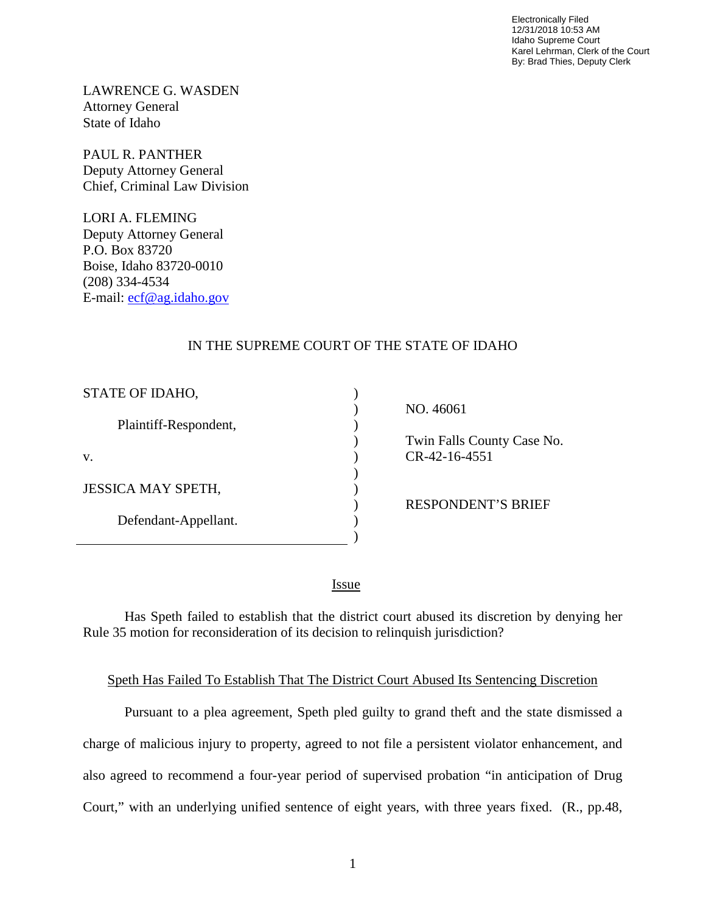Electronically Filed 12/31/2018 10:53 AM Idaho Supreme Court Karel Lehrman, Clerk of the Court By: Brad Thies, Deputy Clerk

LAWRENCE G. WASDEN Attorney General State of Idaho

PAUL R. PANTHER Deputy Attorney General Chief, Criminal Law Division

LORI A. FLEMING Deputy Attorney General P.O. Box 83720 Boise, Idaho 83720-0010 (208) 334-4534 E-mail: [ecf@ag.idaho.gov](mailto:ecf@ag.idaho.gov)

## IN THE SUPREME COURT OF THE STATE OF IDAHO

| STATE OF IDAHO,           |  |
|---------------------------|--|
| Plaintiff-Respondent,     |  |
| V.                        |  |
| <b>JESSICA MAY SPETH,</b> |  |
| Defendant-Appellant.      |  |
|                           |  |

 NO. 46061 Twin Falls County Case No. CR-42-16-4551

RESPONDENT'S BRIEF

<u>Issue</u>

Has Speth failed to establish that the district court abused its discretion by denying her Rule 35 motion for reconsideration of its decision to relinquish jurisdiction?

## Speth Has Failed To Establish That The District Court Abused Its Sentencing Discretion

Pursuant to a plea agreement, Speth pled guilty to grand theft and the state dismissed a charge of malicious injury to property, agreed to not file a persistent violator enhancement, and also agreed to recommend a four-year period of supervised probation "in anticipation of Drug Court," with an underlying unified sentence of eight years, with three years fixed. (R., pp.48,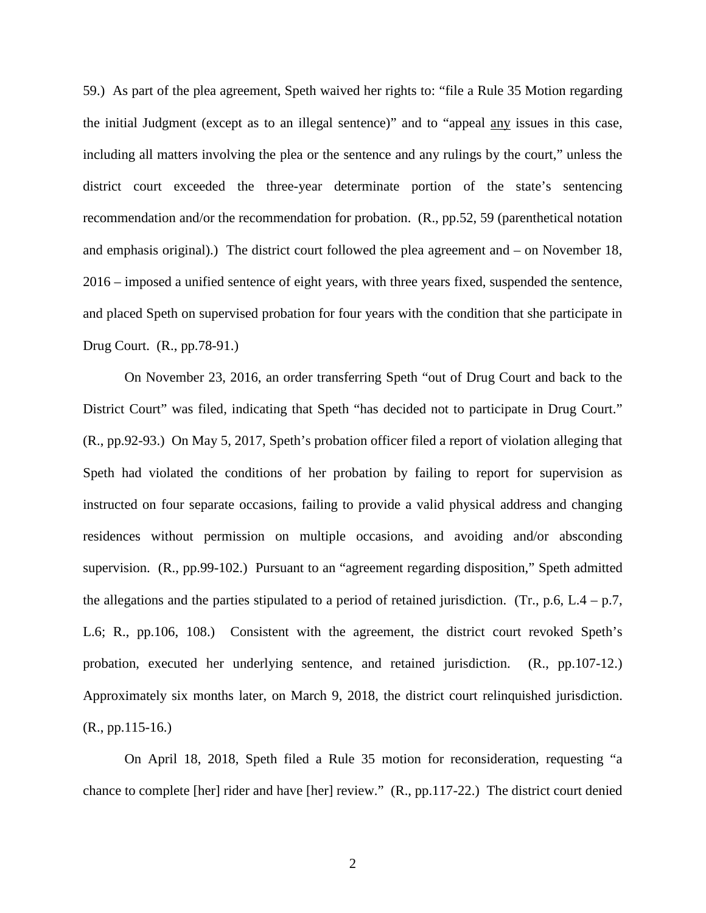59.) As part of the plea agreement, Speth waived her rights to: "file a Rule 35 Motion regarding the initial Judgment (except as to an illegal sentence)" and to "appeal any issues in this case, including all matters involving the plea or the sentence and any rulings by the court," unless the district court exceeded the three-year determinate portion of the state's sentencing recommendation and/or the recommendation for probation. (R., pp.52, 59 (parenthetical notation and emphasis original).) The district court followed the plea agreement and – on November 18, 2016 – imposed a unified sentence of eight years, with three years fixed, suspended the sentence, and placed Speth on supervised probation for four years with the condition that she participate in Drug Court. (R., pp.78-91.)

On November 23, 2016, an order transferring Speth "out of Drug Court and back to the District Court" was filed, indicating that Speth "has decided not to participate in Drug Court." (R., pp.92-93.) On May 5, 2017, Speth's probation officer filed a report of violation alleging that Speth had violated the conditions of her probation by failing to report for supervision as instructed on four separate occasions, failing to provide a valid physical address and changing residences without permission on multiple occasions, and avoiding and/or absconding supervision. (R., pp.99-102.) Pursuant to an "agreement regarding disposition," Speth admitted the allegations and the parties stipulated to a period of retained jurisdiction. (Tr., p.6, L.4 – p.7, L.6; R., pp.106, 108.) Consistent with the agreement, the district court revoked Speth's probation, executed her underlying sentence, and retained jurisdiction. (R., pp.107-12.) Approximately six months later, on March 9, 2018, the district court relinquished jurisdiction. (R., pp.115-16.)

On April 18, 2018, Speth filed a Rule 35 motion for reconsideration, requesting "a chance to complete [her] rider and have [her] review." (R., pp.117-22.) The district court denied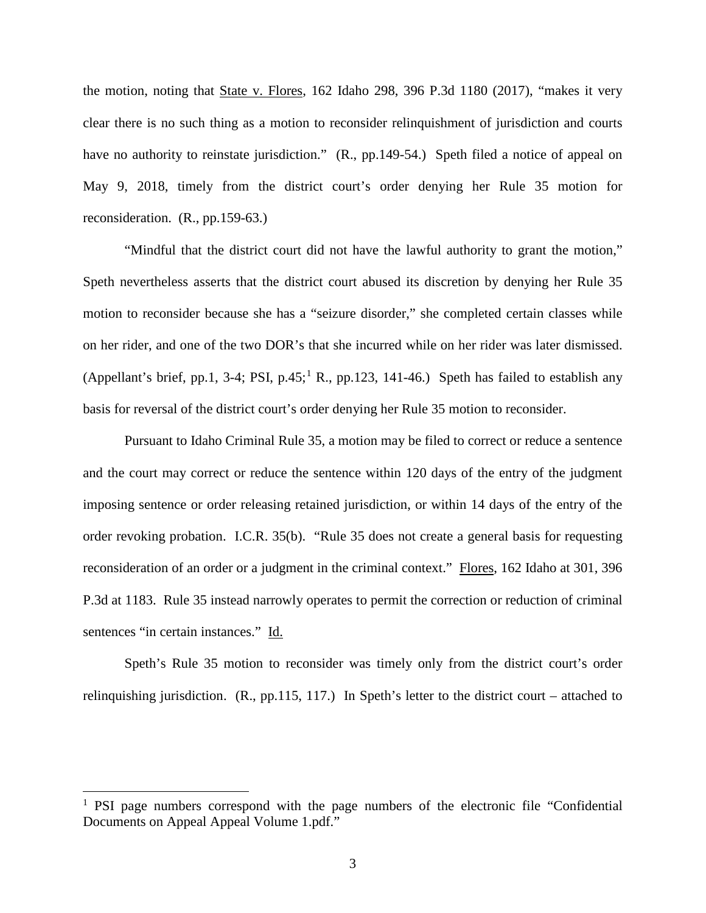the motion, noting that State v. Flores, 162 Idaho 298, 396 P.3d 1180 (2017), "makes it very clear there is no such thing as a motion to reconsider relinquishment of jurisdiction and courts have no authority to reinstate jurisdiction." (R., pp. 149-54.) Speth filed a notice of appeal on May 9, 2018, timely from the district court's order denying her Rule 35 motion for reconsideration. (R., pp.159-63.)

"Mindful that the district court did not have the lawful authority to grant the motion," Speth nevertheless asserts that the district court abused its discretion by denying her Rule 35 motion to reconsider because she has a "seizure disorder," she completed certain classes while on her rider, and one of the two DOR's that she incurred while on her rider was later dismissed. (Appellant's brief, pp.[1](#page--1-0), 3-4; PSI, p.45;<sup>1</sup> R., pp.123, 141-46.) Speth has failed to establish any basis for reversal of the district court's order denying her Rule 35 motion to reconsider.

Pursuant to Idaho Criminal Rule 35, a motion may be filed to correct or reduce a sentence and the court may correct or reduce the sentence within 120 days of the entry of the judgment imposing sentence or order releasing retained jurisdiction, or within 14 days of the entry of the order revoking probation. I.C.R. 35(b). "Rule 35 does not create a general basis for requesting reconsideration of an order or a judgment in the criminal context." Flores, 162 Idaho at 301, 396 P.3d at 1183. Rule 35 instead narrowly operates to permit the correction or reduction of criminal sentences "in certain instances." Id.

Speth's Rule 35 motion to reconsider was timely only from the district court's order relinquishing jurisdiction. (R., pp.115, 117.) In Speth's letter to the district court – attached to

 $\overline{a}$ 

<sup>&</sup>lt;sup>1</sup> PSI page numbers correspond with the page numbers of the electronic file "Confidential" Documents on Appeal Appeal Volume 1.pdf."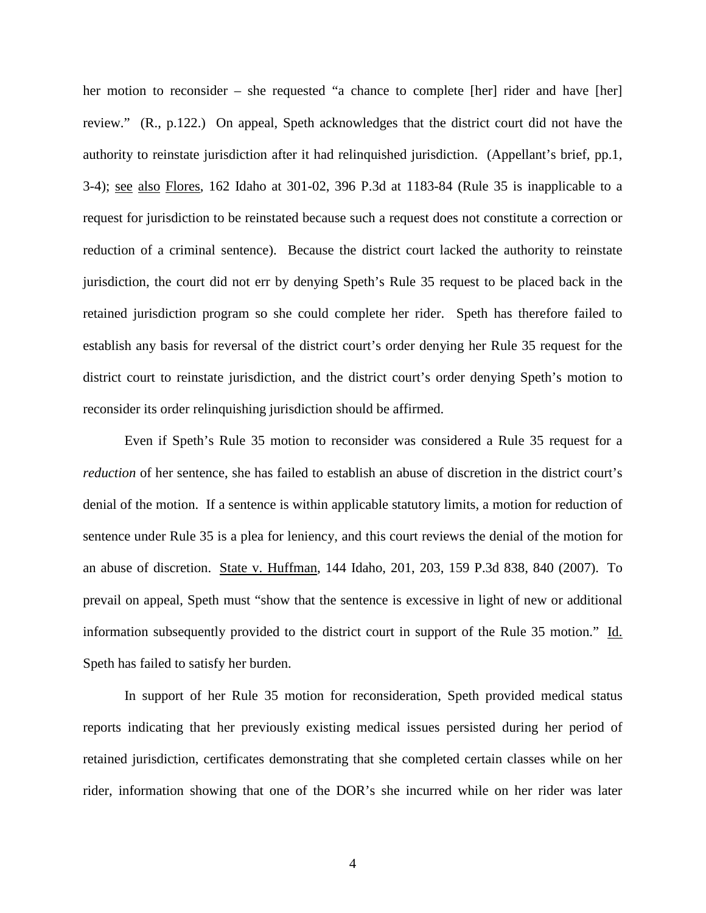her motion to reconsider – she requested "a chance to complete [her] rider and have [her] review." (R., p.122.) On appeal, Speth acknowledges that the district court did not have the authority to reinstate jurisdiction after it had relinquished jurisdiction. (Appellant's brief, pp.1, 3-4); see also Flores, 162 Idaho at 301-02, 396 P.3d at 1183-84 (Rule 35 is inapplicable to a request for jurisdiction to be reinstated because such a request does not constitute a correction or reduction of a criminal sentence). Because the district court lacked the authority to reinstate jurisdiction, the court did not err by denying Speth's Rule 35 request to be placed back in the retained jurisdiction program so she could complete her rider. Speth has therefore failed to establish any basis for reversal of the district court's order denying her Rule 35 request for the district court to reinstate jurisdiction, and the district court's order denying Speth's motion to reconsider its order relinquishing jurisdiction should be affirmed.

Even if Speth's Rule 35 motion to reconsider was considered a Rule 35 request for a *reduction* of her sentence, she has failed to establish an abuse of discretion in the district court's denial of the motion. If a sentence is within applicable statutory limits, a motion for reduction of sentence under Rule 35 is a plea for leniency, and this court reviews the denial of the motion for an abuse of discretion. State v. Huffman, 144 Idaho, 201, 203, 159 P.3d 838, 840 (2007). To prevail on appeal, Speth must "show that the sentence is excessive in light of new or additional information subsequently provided to the district court in support of the Rule 35 motion." Id. Speth has failed to satisfy her burden.

In support of her Rule 35 motion for reconsideration, Speth provided medical status reports indicating that her previously existing medical issues persisted during her period of retained jurisdiction, certificates demonstrating that she completed certain classes while on her rider, information showing that one of the DOR's she incurred while on her rider was later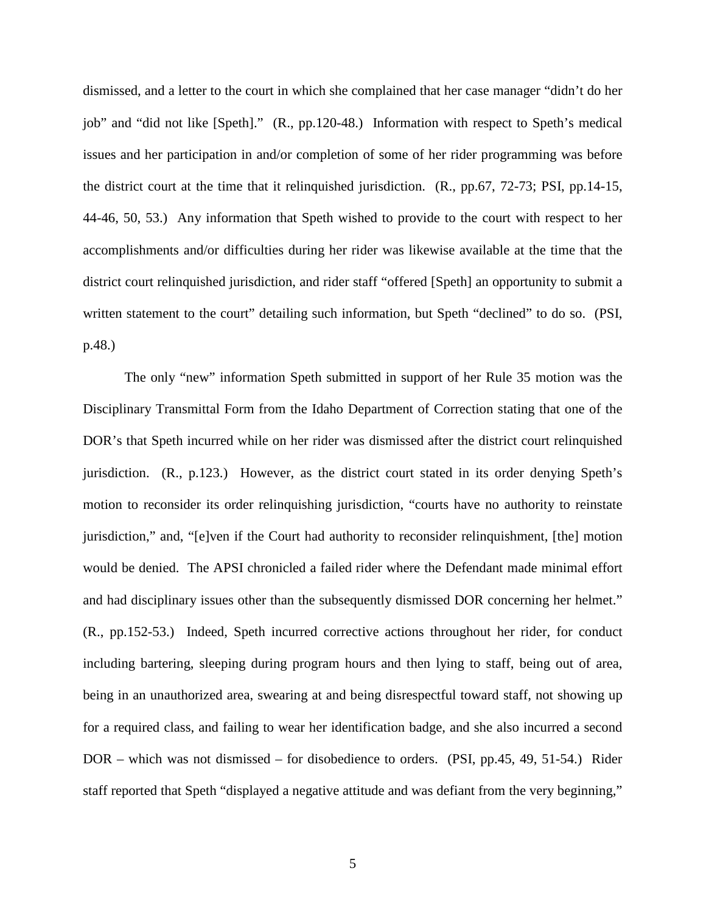dismissed, and a letter to the court in which she complained that her case manager "didn't do her job" and "did not like [Speth]." (R., pp.120-48.) Information with respect to Speth's medical issues and her participation in and/or completion of some of her rider programming was before the district court at the time that it relinquished jurisdiction. (R., pp.67, 72-73; PSI, pp.14-15, 44-46, 50, 53.) Any information that Speth wished to provide to the court with respect to her accomplishments and/or difficulties during her rider was likewise available at the time that the district court relinquished jurisdiction, and rider staff "offered [Speth] an opportunity to submit a written statement to the court" detailing such information, but Speth "declined" to do so. (PSI, p.48.)

The only "new" information Speth submitted in support of her Rule 35 motion was the Disciplinary Transmittal Form from the Idaho Department of Correction stating that one of the DOR's that Speth incurred while on her rider was dismissed after the district court relinquished jurisdiction. (R., p.123.) However, as the district court stated in its order denying Speth's motion to reconsider its order relinquishing jurisdiction, "courts have no authority to reinstate jurisdiction," and, "[e]ven if the Court had authority to reconsider relinquishment, [the] motion would be denied. The APSI chronicled a failed rider where the Defendant made minimal effort and had disciplinary issues other than the subsequently dismissed DOR concerning her helmet." (R., pp.152-53.) Indeed, Speth incurred corrective actions throughout her rider, for conduct including bartering, sleeping during program hours and then lying to staff, being out of area, being in an unauthorized area, swearing at and being disrespectful toward staff, not showing up for a required class, and failing to wear her identification badge, and she also incurred a second DOR – which was not dismissed – for disobedience to orders. (PSI, pp.45, 49, 51-54.) Rider staff reported that Speth "displayed a negative attitude and was defiant from the very beginning,"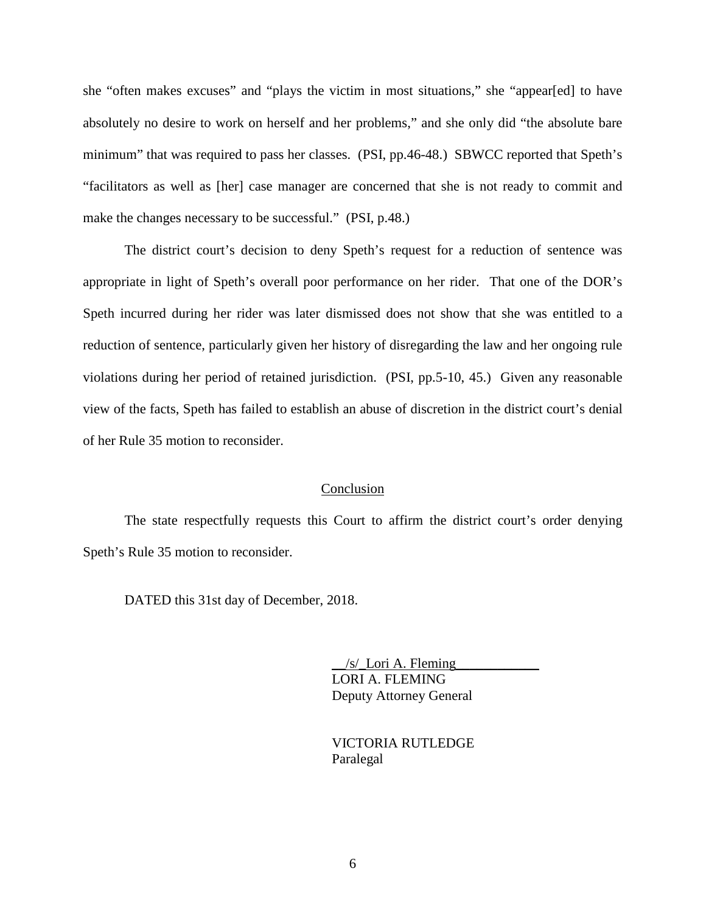she "often makes excuses" and "plays the victim in most situations," she "appear[ed] to have absolutely no desire to work on herself and her problems," and she only did "the absolute bare minimum" that was required to pass her classes. (PSI, pp.46-48.) SBWCC reported that Speth's "facilitators as well as [her] case manager are concerned that she is not ready to commit and make the changes necessary to be successful." (PSI, p.48.)

The district court's decision to deny Speth's request for a reduction of sentence was appropriate in light of Speth's overall poor performance on her rider. That one of the DOR's Speth incurred during her rider was later dismissed does not show that she was entitled to a reduction of sentence, particularly given her history of disregarding the law and her ongoing rule violations during her period of retained jurisdiction. (PSI, pp.5-10, 45.) Given any reasonable view of the facts, Speth has failed to establish an abuse of discretion in the district court's denial of her Rule 35 motion to reconsider.

## Conclusion

The state respectfully requests this Court to affirm the district court's order denying Speth's Rule 35 motion to reconsider.

DATED this 31st day of December, 2018.

 $/s$  Lori A. Fleming LORI A. FLEMING Deputy Attorney General

 VICTORIA RUTLEDGE Paralegal